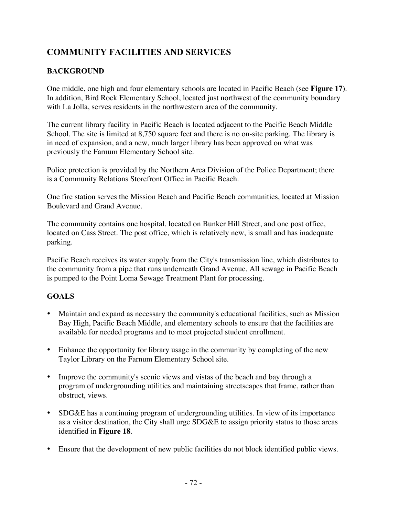# **COMMUNITY FACILITIES AND SERVICES**

### **BACKGROUND**

One middle, one high and four elementary schools are located in Pacific Beach (see **Figure 17**). In addition, Bird Rock Elementary School, located just northwest of the community boundary with La Jolla, serves residents in the northwestern area of the community.

The current library facility in Pacific Beach is located adjacent to the Pacific Beach Middle School. The site is limited at 8,750 square feet and there is no on-site parking. The library is in need of expansion, and a new, much larger library has been approved on what was previously the Farnum Elementary School site.

Police protection is provided by the Northern Area Division of the Police Department; there is a Community Relations Storefront Office in Pacific Beach.

One fire station serves the Mission Beach and Pacific Beach communities, located at Mission Boulevard and Grand Avenue.

The community contains one hospital, located on Bunker Hill Street, and one post office, located on Cass Street. The post office, which is relatively new, is small and has inadequate parking.

Pacific Beach receives its water supply from the City's transmission line, which distributes to the community from a pipe that runs underneath Grand Avenue. All sewage in Pacific Beach is pumped to the Point Loma Sewage Treatment Plant for processing.

#### **GOALS**

- Maintain and expand as necessary the community's educational facilities, such as Mission Bay High, Pacific Beach Middle, and elementary schools to ensure that the facilities are available for needed programs and to meet projected student enrollment.
- Enhance the opportunity for library usage in the community by completing of the new Taylor Library on the Farnum Elementary School site.
- Improve the community's scenic views and vistas of the beach and bay through a program of undergrounding utilities and maintaining streetscapes that frame, rather than obstruct, views.
- SDG&E has a continuing program of undergrounding utilities. In view of its importance as a visitor destination, the City shall urge SDG&E to assign priority status to those areas identified in **Figure 18**.
- Ensure that the development of new public facilities do not block identified public views.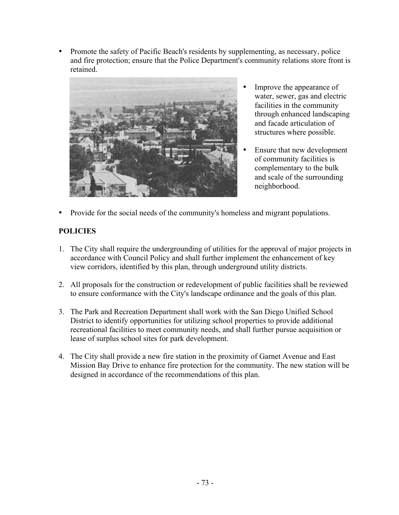• Promote the safety of Pacific Beach's residents by supplementing, as necessary, police and fire protection; ensure that the Police Department's community relations store front is retained.



- Improve the appearance of water, sewer, gas and electric facilities in the community through enhanced landscaping and facade articulation of structures where possible.
- Ensure that new development of community facilities is complementary to the bulk and scale of the surrounding neighborhood.
- Provide for the social needs of the community's homeless and migrant populations.

## **POLICIES**

- 1. The City shall require the undergrounding of utilities for the approval of major projects in accordance with Council Policy and shall further implement the enhancement of key view corridors, identified by this plan, through underground utility districts.
- 2. All proposals for the construction or redevelopment of public facilities shall be reviewed to ensure conformance with the City's landscape ordinance and the goals of this plan.
- 3. The Park and Recreation Department shall work with the San Diego Unified School District to identify opportunities for utilizing school properties to provide additional recreational facilities to meet community needs, and shall further pursue acquisition or lease of surplus school sites for park development.
- 4. The City shall provide a new fire station in the proximity of Garnet Avenue and East Mission Bay Drive to enhance fire protection for the community. The new station will be designed in accordance of the recommendations of this plan.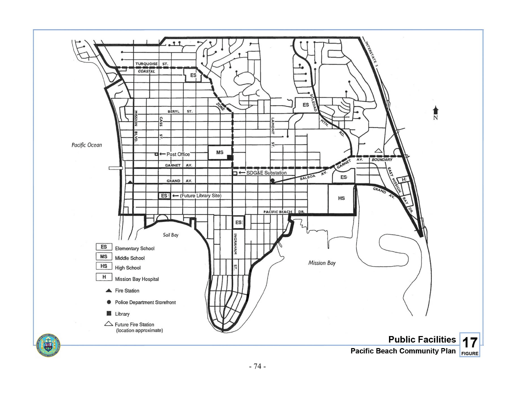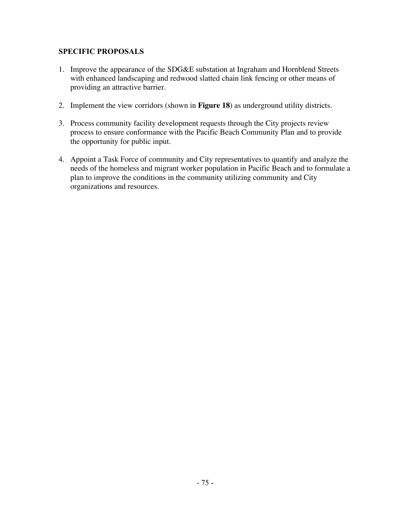#### **SPECIFIC PROPOSALS**

- 1. Improve the appearance of the SDG&E substation at Ingraham and Hornblend Streets with enhanced landscaping and redwood slatted chain link fencing or other means of providing an attractive barrier.
- 2. Implement the view corridors (shown in **Figure 18**) as underground utility districts.
- 3. Process community facility development requests through the City projects review process to ensure conformance with the Pacific Beach Community Plan and to provide the opportunity for public input.
- 4. Appoint a Task Force of community and City representatives to quantify and analyze the needs of the homeless and migrant worker population in Pacific Beach and to formulate a plan to improve the conditions in the community utilizing community and City organizations and resources.